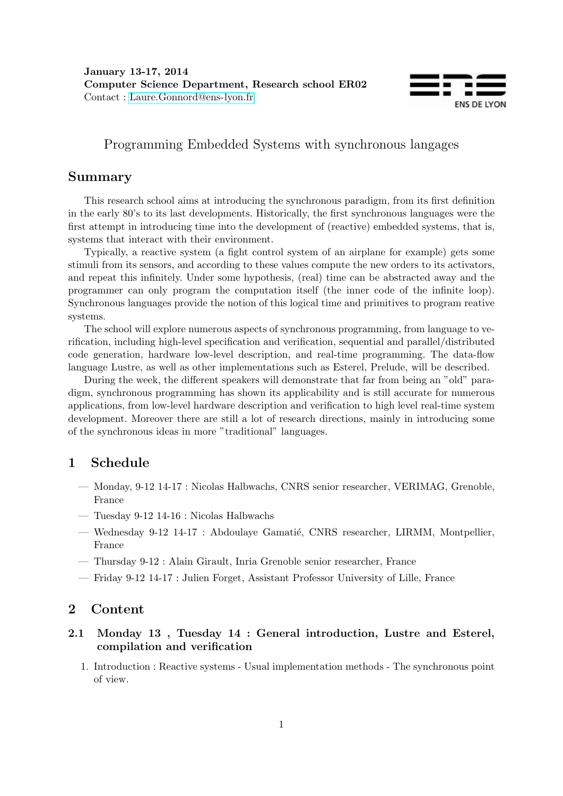

# Programming Embedded Systems with synchronous langages

## Summary

This research school aims at introducing the synchronous paradigm, from its first definition in the early 80's to its last developments. Historically, the first synchronous languages were the first attempt in introducing time into the development of (reactive) embedded systems, that is, systems that interact with their environment.

Typically, a reactive system (a fight control system of an airplane for example) gets some stimuli from its sensors, and according to these values compute the new orders to its activators, and repeat this infinitely. Under some hypothesis, (real) time can be abstracted away and the programmer can only program the computation itself (the inner code of the infinite loop). Synchronous languages provide the notion of this logical time and primitives to program reative systems.

The school will explore numerous aspects of synchronous programming, from language to verification, including high-level specification and verification, sequential and parallel/distributed code generation, hardware low-level description, and real-time programming. The data-flow language Lustre, as well as other implementations such as Esterel, Prelude, will be described.

During the week, the different speakers will demonstrate that far from being an "old" paradigm, synchronous programming has shown its applicability and is still accurate for numerous applications, from low-level hardware description and verification to high level real-time system development. Moreover there are still a lot of research directions, mainly in introducing some of the synchronous ideas in more "traditional" languages.

## 1 Schedule

- Monday, 9-12 14-17 : Nicolas Halbwachs, CNRS senior researcher, VERIMAG, Grenoble, France
- Tuesday 9-12 14-16 : Nicolas Halbwachs
- Wednesday 9-12 14-17 : Abdoulaye Gamatié, CNRS researcher, LIRMM, Montpellier, France
- Thursday 9-12 : Alain Girault, Inria Grenoble senior researcher, France
- Friday 9-12 14-17 : Julien Forget, Assistant Professor University of Lille, France

#### 2 Content

#### 2.1 Monday 13 , Tuesday 14 : General introduction, Lustre and Esterel, compilation and verification

1. Introduction : Reactive systems - Usual implementation methods - The synchronous point of view.